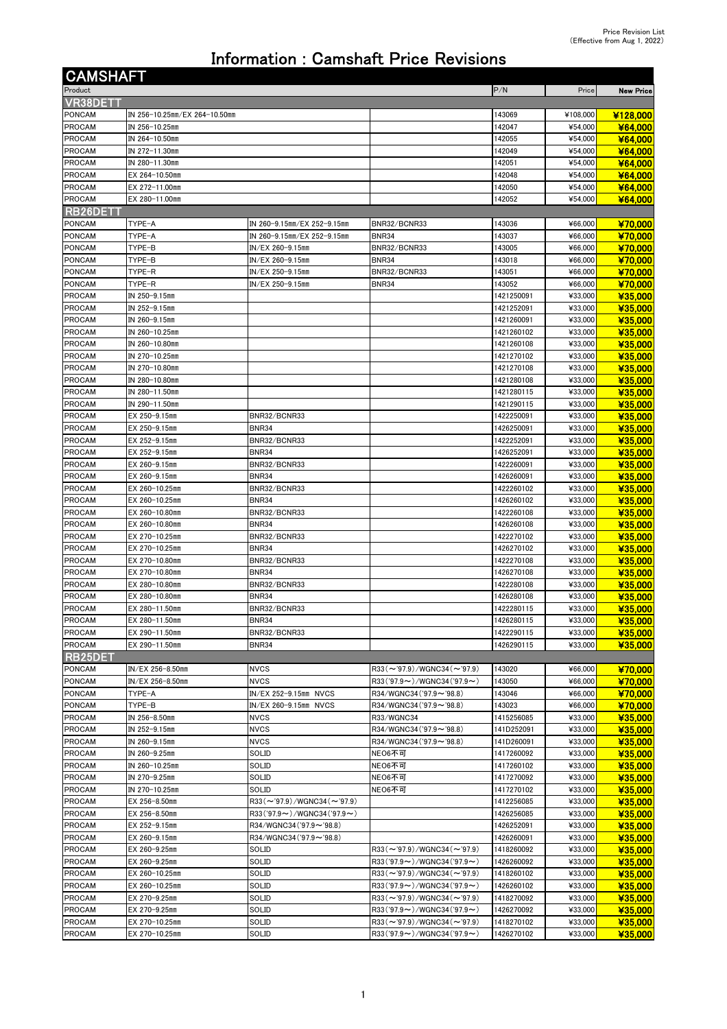## Information : Camshaft Price Revisions

| <b>CAMSHAFT</b>                 |                                  |                                                                         |                                           |                          |                    |                    |
|---------------------------------|----------------------------------|-------------------------------------------------------------------------|-------------------------------------------|--------------------------|--------------------|--------------------|
| Product                         |                                  |                                                                         |                                           | P/N                      | Price              | <b>New Price</b>   |
| VR38DETT                        |                                  |                                                                         |                                           |                          |                    |                    |
| PONCAM                          | IN 256-10.25mm/EX 264-10.50mm    |                                                                         |                                           | 143069                   | ¥108,000           | ¥128,000           |
| <b>PROCAM</b>                   | IN 256-10.25mm                   |                                                                         |                                           | 142047                   | ¥54,000            | ¥64,000            |
| <b>PROCAM</b>                   | IN 264-10.50mm                   |                                                                         |                                           | 142055                   | ¥54,000            | ¥64,000            |
| <b>PROCAM</b>                   | IN 272-11.30mm                   |                                                                         |                                           | 142049                   | ¥54,000            | ¥64,000            |
| <b>PROCAM</b><br><b>PROCAM</b>  | IN 280-11.30mm<br>EX 264-10.50mm |                                                                         |                                           | 142051<br>142048         | ¥54,000<br>¥54,000 | ¥64,000<br>¥64,000 |
| <b>PROCAM</b>                   | EX 272-11.00mm                   |                                                                         |                                           | 142050                   | ¥54,000            | ¥64,000            |
| <b>PROCAM</b>                   | EX 280-11.00mm                   |                                                                         |                                           | 142052                   | ¥54,000            | ¥64,000            |
| RB26DETT                        |                                  |                                                                         |                                           |                          |                    |                    |
| PONCAM                          | TYPE-A                           | IN 260-9.15mm/EX 252-9.15mm                                             | BNR32/BCNR33                              | 143036                   | ¥66,000            | ¥70,000            |
| <b>PONCAM</b>                   | TYPE-A                           | IN 260-9.15mm/EX 252-9.15mm                                             | <b>BNR34</b>                              | 143037                   | ¥66,000            | ¥70.000            |
| <b>PONCAM</b>                   | TYPE-B                           | IN/EX 260-9.15mm                                                        | BNR32/BCNR33                              | 143005                   | ¥66,000            | ¥70,000            |
| PONCAM                          | TYPE-B                           | IN/EX 260-9.15mm                                                        | <b>BNR34</b>                              | 143018                   | ¥66,000            | ¥70,000            |
| <b>PONCAM</b>                   | TYPE-R                           | IN/EX 250-9.15mm                                                        | BNR32/BCNR33                              | 143051                   | ¥66,000            | ¥70,000            |
| <b>PONCAM</b>                   | TYPE-R                           | IN/EX 250-9.15mm                                                        | <b>BNR34</b>                              | 143052                   | ¥66,000            | ¥70,000            |
| <b>PROCAM</b>                   | IN 250-9.15mm                    |                                                                         |                                           | 1421250091               | ¥33,000            | ¥35,000            |
| <b>PROCAM</b>                   | IN 252-9.15mm                    |                                                                         |                                           | 1421252091               | ¥33,000            | ¥35,000            |
| <b>PROCAM</b>                   | IN 260-9.15mm                    |                                                                         |                                           | 1421260091               | ¥33,000<br>¥33,000 | ¥35,000            |
| PROCAM<br><b>PROCAM</b>         | IN 260-10.25mm<br>IN 260-10.80mm |                                                                         |                                           | 1421260102<br>1421260108 | ¥33,000            | ¥35,000<br>¥35,000 |
| <b>PROCAM</b>                   | IN 270-10.25mm                   |                                                                         |                                           | 1421270102               | ¥33,000            | ¥35.000            |
| <b>PROCAM</b>                   | IN 270-10.80mm                   |                                                                         |                                           | 1421270108               | ¥33,000            | ¥35,000            |
| <b>PROCAM</b>                   | IN 280-10.80mm                   |                                                                         |                                           | 1421280108               | ¥33,000            | ¥35,000            |
| <b>PROCAM</b>                   | IN 280-11.50mm                   |                                                                         |                                           | 1421280115               | ¥33,000            | ¥35.000            |
| <b>PROCAM</b>                   | IN 290-11.50mm                   |                                                                         |                                           | 1421290115               | ¥33,000            | ¥35,000            |
| <b>PROCAM</b>                   | EX 250-9.15mm                    | BNR32/BCNR33                                                            |                                           | 1422250091               | ¥33,000            | ¥35,000            |
| PROCAM                          | EX 250-9.15mm                    | <b>BNR34</b>                                                            |                                           | 1426250091               | ¥33,000            | ¥35,000            |
| <b>PROCAM</b>                   | EX 252-9.15mm                    | BNR32/BCNR33                                                            |                                           | 1422252091               | ¥33,000            | ¥35,000            |
| PROCAM                          | EX 252-9.15mm                    | <b>BNR34</b>                                                            |                                           | 1426252091               | ¥33,000            | ¥35,000            |
| PROCAM                          | EX 260-9.15mm                    | BNR32/BCNR33                                                            |                                           | 1422260091               | ¥33,000            | ¥35,000            |
| <b>PROCAM</b>                   | EX 260-9.15mm                    | <b>BNR34</b>                                                            |                                           | 1426260091               | ¥33,000            | ¥35,000            |
| <b>PROCAM</b><br>PROCAM         | EX 260-10.25mm<br>EX 260-10.25mm | BNR32/BCNR33<br><b>BNR34</b>                                            |                                           | 1422260102<br>1426260102 | ¥33,000<br>¥33,000 | ¥35,000<br>¥35,000 |
| <b>PROCAM</b>                   | EX 260-10.80mm                   | BNR32/BCNR33                                                            |                                           | 1422260108               | ¥33,000            | ¥35,000            |
| PROCAM                          | EX 260-10.80mm                   | <b>BNR34</b>                                                            |                                           | 1426260108               | ¥33,000            | ¥35,000            |
| PROCAM                          | EX 270-10.25mm                   | BNR32/BCNR33                                                            |                                           | 1422270102               | ¥33,000            | ¥35,000            |
| <b>PROCAM</b>                   | EX 270-10.25mm                   | <b>BNR34</b>                                                            |                                           | 1426270102               | ¥33,000            | ¥35,000            |
| PROCAM                          | EX 270-10.80mm                   | BNR32/BCNR33                                                            |                                           | 1422270108               | ¥33,000            | ¥35,000            |
| <b>PROCAM</b>                   | EX 270-10.80mm                   | <b>BNR34</b>                                                            |                                           | 1426270108               | ¥33,000            | ¥35,000            |
| PROCAM                          | EX 280-10.80mm                   | BNR32/BCNR33                                                            |                                           | 1422280108               | ¥33,000            | ¥35,000            |
| PROCAM                          | EX 280-10.80mm                   | <b>BNR34</b>                                                            |                                           | 1426280108               | ¥33,000            | ¥35,000            |
| <b>PROCAM</b>                   | EX 280-11.50mm                   | BNR32/BCNR33                                                            |                                           | 1422280115               | ¥33,000            | ¥35,000            |
| <b>PROCAM</b>                   | EX 280-11.50mm                   | <b>BNR34</b>                                                            |                                           | 1426280115               | ¥33,000            | ¥35,000            |
| <b>PROCAM</b>                   | EX 290-11.50mm<br>EX 290-11.50mm | BNR32/BCNR33                                                            |                                           | 1422290115<br>1426290115 | ¥33,000            | ¥35,000            |
| <b>PROCAM</b><br><b>RB25DET</b> |                                  | <b>BNR34</b>                                                            |                                           |                          | ¥33,000            | ¥35,000            |
| <b>PONCAM</b>                   | IN/EX 256-8.50mm                 | <b>NVCS</b>                                                             | $R33 (\sim 97.9)/W$ GNC34 ( $\sim 97.9$ ) | 143020                   | ¥66,000            | ¥70,000            |
| PONCAM                          | IN/EX 256-8.50mm                 | <b>NVCS</b>                                                             | $R33('97.9\sim) / WGNC34('97.9\sim)$      | 143050                   | ¥66.000            | ¥70,000            |
| PONCAM                          | TYPE-A                           | IN/EX 252-9.15mm NVCS                                                   | R34/WGNC34 ('97.9~'98.8)                  | 143046                   | ¥66,000            | ¥70 000            |
| PONCAM                          | TYPE-B                           | IN/EX 260-9.15mm NVCS                                                   | R34/WGNC34 ('97.9~'98.8)                  | 143023                   | ¥66,000            | ¥70,000            |
| PROCAM                          | IN 256-8.50mm                    | <b>NVCS</b>                                                             | R33/WGNC34                                | 1415256085               | ¥33,000            | ¥35,000            |
| <b>PROCAM</b>                   | IN 252-9.15mm                    | <b>NVCS</b>                                                             | R34/WGNC34 ('97.9~'98.8)                  | 141D252091               | ¥33,000            | ¥35,000            |
| PROCAM                          | IN 260-9.15mm                    | <b>NVCS</b>                                                             | R34/WGNC34 ('97.9~'98.8)                  | 141D260091               | ¥33,000            | ¥35,000            |
| <b>PROCAM</b>                   | IN 260-9.25mm                    | SOLID                                                                   | NEO6不可                                    | 1417260092               | ¥33,000            | ¥35,000            |
| <b>PROCAM</b>                   | IN 260-10.25mm                   | SOLID                                                                   | NEO6不可                                    | 1417260102               | ¥33,000            | ¥35,000            |
| <b>PROCAM</b>                   | IN 270-9.25mm                    | SOLID                                                                   | NEO6不可                                    | 1417270092               | ¥33,000            | ¥35,000            |
| PROCAM                          | IN 270-10.25mm                   | SOLID                                                                   | NEO6不可                                    | 1417270102               | ¥33,000            | ¥35,000            |
| <b>PROCAM</b><br>PROCAM         | EX 256-8.50mm<br>EX 256-8.50mm   | $R33 (\sim 97.9)/W$ GNC34 ( $\sim 97.9$ )<br>R33('97.9~)/WGNC34('97.9~) |                                           | 1412256085<br>1426256085 | ¥33,000<br>¥33,000 | ¥35,000<br>¥35,000 |
| <b>PROCAM</b>                   | EX 252-9.15mm                    | R34/WGNC34 ('97.9 $\sim$ '98.8)                                         |                                           | 1426252091               | ¥33,000            | ¥35,000            |
| <b>PROCAM</b>                   | EX 260-9.15mm                    | R34/WGNC34 ('97.9 $\sim$ '98.8)                                         |                                           | 1426260091               | ¥33,000            | ¥35,000            |
| PROCAM                          | EX 260-9.25mm                    | SOLID                                                                   | $R33 (\sim 97.9)/W$ GNC34 ( $\sim 97.9$ ) | 1418260092               | ¥33,000            | ¥35,000            |
| <b>PROCAM</b>                   | EX 260-9.25mm                    | SOLID                                                                   | $R33('97.9\sim)/WGNC34('97.9\sim)$        | 1426260092               | ¥33,000            | ¥35,000            |
| PROCAM                          | EX 260-10.25mm                   | SOLID                                                                   | $R33 (\sim 97.9)/W$ GNC34 ( $\sim 97.9$ ) | 1418260102               | ¥33,000            | ¥35,000            |
| PROCAM                          | EX 260-10.25mm                   | SOLID                                                                   | $R33('97.9\sim)/WGNC34('97.9\sim)$        | 1426260102               | ¥33,000            | ¥35 000            |
| PROCAM                          | EX 270-9.25mm                    | SOLID                                                                   | $R33 (\sim 97.9)/W$ GNC34 ( $\sim 97.9$ ) | 1418270092               | ¥33,000            | ¥35,000            |
| PROCAM                          | EX 270-9.25mm                    | SOLID                                                                   | $R33('97.9\sim)/WGNC34('97.9\sim)$        | 1426270092               | ¥33,000            | ¥35,000            |
| <b>PROCAM</b>                   | EX 270-10.25mm                   | SOLID                                                                   | $R33 (\sim 97.9)/W$ GNC34 ( $\sim 97.9$ ) | 1418270102               | ¥33,000            | ¥35,000            |
| <b>PROCAM</b>                   | EX 270-10.25mm                   | SOLID                                                                   | $R33('97.9\sim)/W$ GNC34('97.9 $\sim$ )   | 1426270102               | ¥33,000            | ¥35,000            |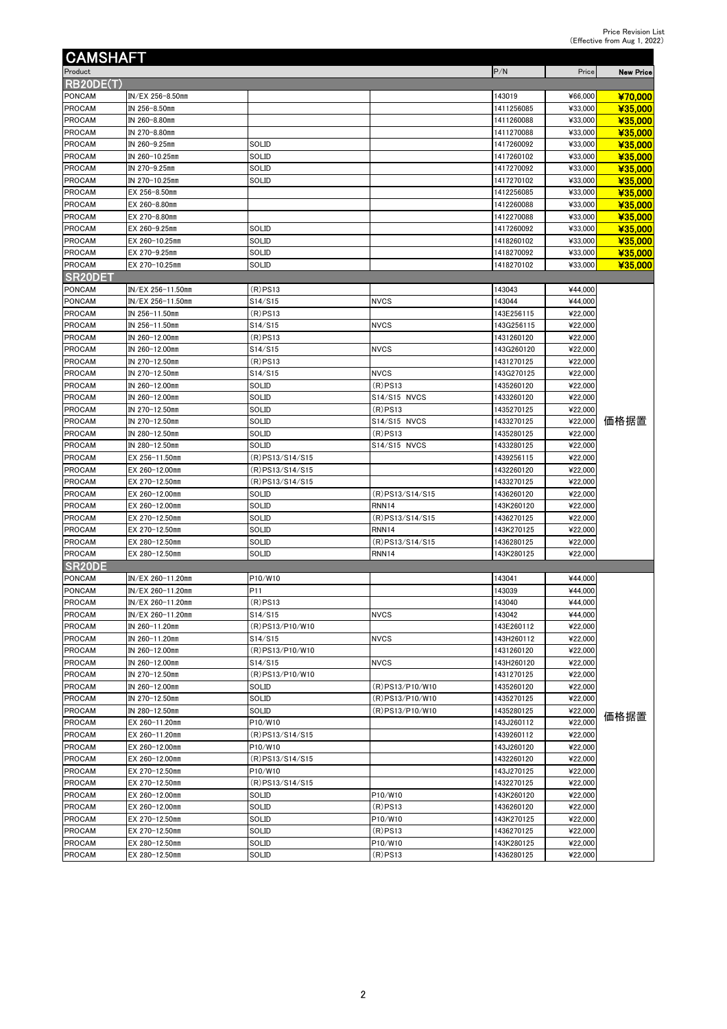| <b>CAMSHAFT</b>                |                                  |                 |                            |                          |                    |                  |
|--------------------------------|----------------------------------|-----------------|----------------------------|--------------------------|--------------------|------------------|
| Product                        |                                  |                 |                            | P/N                      | Price              | <b>New Price</b> |
| RB20DE(T)                      |                                  |                 |                            |                          |                    |                  |
| <b>PONCAM</b>                  | IN/EX 256-8.50mm                 |                 |                            | 143019                   | ¥66,000            | ¥70,000          |
| <b>PROCAM</b>                  | IN 256-8.50mm                    |                 |                            | 1411256085               | ¥33,000            | ¥35,000          |
| <b>PROCAM</b>                  | IN 260-8.80mm                    |                 |                            | 1411260088               | ¥33,000            | ¥35,000          |
| <b>PROCAM</b>                  | IN 270-8.80mm                    |                 |                            | 1411270088               | ¥33,000            | ¥35,000          |
| PROCAM                         | IN 260-9.25mm                    | <b>SOLID</b>    |                            | 1417260092               | ¥33,000            | ¥35,000          |
| <b>PROCAM</b>                  | IN 260-10.25mm                   | SOLID           |                            | 1417260102               | ¥33,000            | ¥35,000          |
| PROCAM                         | IN 270-9.25mm                    | SOLID           |                            | 1417270092               | ¥33,000            | ¥35,000          |
| <b>PROCAM</b>                  | IN 270-10.25mm                   | SOLID           |                            | 1417270102               | ¥33,000            | ¥35,000          |
| <b>PROCAM</b>                  | EX 256-8.50mm                    |                 |                            | 1412256085               | ¥33,000            | ¥35.000          |
| <b>PROCAM</b>                  | EX 260-8.80mm                    |                 |                            | 1412260088               | ¥33,000            | ¥35,000          |
| <b>PROCAM</b>                  | EX 270-8.80mm                    |                 |                            | 1412270088               | ¥33,000            | ¥35,000          |
| <b>PROCAM</b>                  | EX 260-9.25mm                    | <b>SOLID</b>    |                            | 1417260092               | ¥33,000            | ¥35,000          |
| <b>PROCAM</b>                  | EX 260-10.25mm                   | SOLID           |                            | 1418260102               | ¥33,000            | ¥35,000          |
| <b>PROCAM</b>                  | EX 270-9.25mm                    | <b>SOLID</b>    |                            | 1418270092               | ¥33,000            | ¥35,000          |
| <b>PROCAM</b>                  | EX 270-10.25mm                   | SOLID           |                            | 1418270102               | ¥33,000            | ¥35,000          |
| <b>SR20DET</b>                 |                                  |                 |                            |                          |                    |                  |
| <b>PONCAM</b>                  | IN/EX 256-11.50mm                | (R)PS13         |                            | 143043                   | ¥44,000            |                  |
| <b>PONCAM</b>                  | IN/EX 256-11.50mm                | S14/S15         | <b>NVCS</b>                | 143044                   | ¥44,000            |                  |
| <b>PROCAM</b>                  | IN 256-11.50mm                   | $(R)$ PS13      |                            | 143E256115               | ¥22,000            |                  |
| <b>PROCAM</b>                  | IN 256-11.50mm                   | S14/S15         | <b>NVCS</b>                | 143G256115               | ¥22,000            |                  |
| <b>PROCAM</b>                  | IN 260-12.00mm                   | $(R)$ PS13      |                            | 1431260120               | ¥22,000            |                  |
| <b>PROCAM</b>                  | IN 260-12.00mm<br>IN 270-12.50mm | S14/S15         | <b>NVCS</b>                | 143G260120               | ¥22,000            |                  |
| <b>PROCAM</b>                  |                                  | $(R)$ PS13      |                            | 1431270125               | ¥22,000            |                  |
| <b>PROCAM</b>                  | IN 270-12.50mm<br>IN 260-12.00mm | S14/S15         | <b>NVCS</b>                | 143G270125<br>1435260120 | ¥22,000<br>¥22,000 |                  |
| <b>PROCAM</b>                  | IN 260-12.00mm                   | SOLID           | $(R)$ PS13                 | 1433260120               | ¥22,000            |                  |
| <b>PROCAM</b><br><b>PROCAM</b> | IN 270-12.50mm                   | SOLID<br>SOLID  | S14/S15 NVCS<br>$(R)$ PS13 | 1435270125               | ¥22,000            |                  |
| <b>PROCAM</b>                  | IN 270-12.50mm                   | SOLID           | S14/S15 NVCS               | 1433270125               | ¥22,000            | 価格据置             |
| <b>PROCAM</b>                  | IN 280-12.50mm                   | SOLID           | $(R)$ PS13                 | 1435280125               | ¥22,000            |                  |
| <b>PROCAM</b>                  | IN 280-12.50mm                   | SOLID           | S14/S15 NVCS               | 1433280125               | ¥22,000            |                  |
| <b>PROCAM</b>                  | EX 256-11.50mm                   | (R)PS13/S14/S15 |                            | 1439256115               | ¥22,000            |                  |
| <b>PROCAM</b>                  | EX 260-12.00mm                   | (R)PS13/S14/S15 |                            | 1432260120               | ¥22,000            |                  |
| <b>PROCAM</b>                  | EX 270-12.50mm                   | (R)PS13/S14/S15 |                            | 1433270125               | ¥22,000            |                  |
| <b>PROCAM</b>                  | EX 260-12.00mm                   | SOLID           | $(R)$ PS13/S14/S15         | 1436260120               | ¥22,000            |                  |
| PROCAM                         | EX 260-12.00mm                   | SOLID           | <b>RNN14</b>               | 143K260120               | ¥22,000            |                  |
| PROCAM                         | EX 270-12.50mm                   | SOLID           | (R)PS13/S14/S15            | 1436270125               | ¥22,000            |                  |
| <b>PROCAM</b>                  | EX 270-12.50mm                   | SOLID           | <b>RNN14</b>               | 143K270125               | ¥22,000            |                  |
| <b>PROCAM</b>                  | EX 280-12.50mm                   | SOLID           | (R) PS13/S14/S15           | 1436280125               | ¥22,000            |                  |
| <b>PROCAM</b>                  | EX 280-12.50mm                   | SOLID           | RNN14                      | 143K280125               | ¥22,000            |                  |
| SR <sub>20</sub> DE            |                                  |                 |                            |                          |                    |                  |
| <b>PONCAM</b>                  | IN/EX 260-11.20mm                | P10/W10         |                            | 143041                   | ¥44,000            |                  |
| <b>PONCAM</b>                  | IN/EX 260-11.20mm                | P <sub>11</sub> |                            | 143039                   | ¥44,000            |                  |
| <b>PROCAM</b>                  | IN/EX 260-11.20mm                | $(R)$ PS13      |                            | 143040                   | ¥44,000            |                  |
| <b>PROCAM</b>                  | IN/EX 260-11.20mm                | S14/S15         | <b>NVCS</b>                | 143042                   | ¥44,000            |                  |
| PROCAM                         | IN 260-11.20mm                   | (R)PS13/P10/W10 |                            | 143E260112               | ¥22,000            |                  |
| PROCAM                         | IN 260-11.20mm                   | S14/S15         | <b>NVCS</b>                | 143H260112               | ¥22,000            |                  |
| <b>PROCAM</b>                  | IN 260-12.00mm                   | (R)PS13/P10/W10 |                            | 1431260120               | ¥22,000            |                  |
| <b>PROCAM</b>                  | IN 260-12.00mm                   | S14/S15         | <b>NVCS</b>                | 143H260120               | ¥22,000            |                  |
| <b>PROCAM</b>                  | IN 270-12.50mm                   | (R)PS13/P10/W10 |                            | 1431270125               | ¥22,000            |                  |
| <b>PROCAM</b>                  | IN 260-12.00mm                   | SOLID           | (R) PS13/P10/W10           | 1435260120               | ¥22,000            |                  |
| <b>PROCAM</b>                  | IN 270-12.50mm                   | SOLID           | (R)PS13/P10/W10            | 1435270125               | ¥22,000            |                  |
| <b>PROCAM</b>                  | IN 280-12.50mm                   | SOLID           | (R)PS13/P10/W10            | 1435280125               | ¥22,000            | 価格据置             |
| PROCAM                         | EX 260-11.20mm                   | P10/W10         |                            | 143J260112               | ¥22,000            |                  |
| <b>PROCAM</b>                  | EX 260-11.20mm                   | (R)PS13/S14/S15 |                            | 1439260112               | ¥22,000            |                  |
| <b>PROCAM</b>                  | EX 260-12.00mm                   | P10/W10         |                            | 143J260120               | ¥22,000            |                  |
| <b>PROCAM</b>                  | EX 260-12.00mm                   | (R)PS13/S14/S15 |                            | 1432260120               | ¥22,000            |                  |
| PROCAM                         | EX 270-12.50mm                   | P10/W10         |                            | 143J270125               | ¥22,000            |                  |
| <b>PROCAM</b>                  | EX 270-12.50mm                   | (R)PS13/S14/S15 |                            | 1432270125               | ¥22,000            |                  |
| PROCAM                         | EX 260-12.00mm                   | SOLID           | P10/W10                    | 143K260120               | ¥22,000            |                  |
| PROCAM                         | EX 260-12.00mm                   | SOLID           | $(R)$ PS13                 | 1436260120               | ¥22,000            |                  |
| <b>PROCAM</b>                  | EX 270-12.50mm                   | SOLID           | P10/W10                    | 143K270125               | ¥22,000            |                  |
| PROCAM                         | EX 270-12.50mm                   | SOLID           | $(R)$ PS13                 | 1436270125               | ¥22,000            |                  |
| <b>PROCAM</b>                  | EX 280-12.50mm                   | SOLID           | P10/W10                    | 143K280125               | ¥22,000            |                  |
| <b>PROCAM</b>                  | EX 280-12.50mm                   | SOLID           | (R)PS13                    | 1436280125               | ¥22,000            |                  |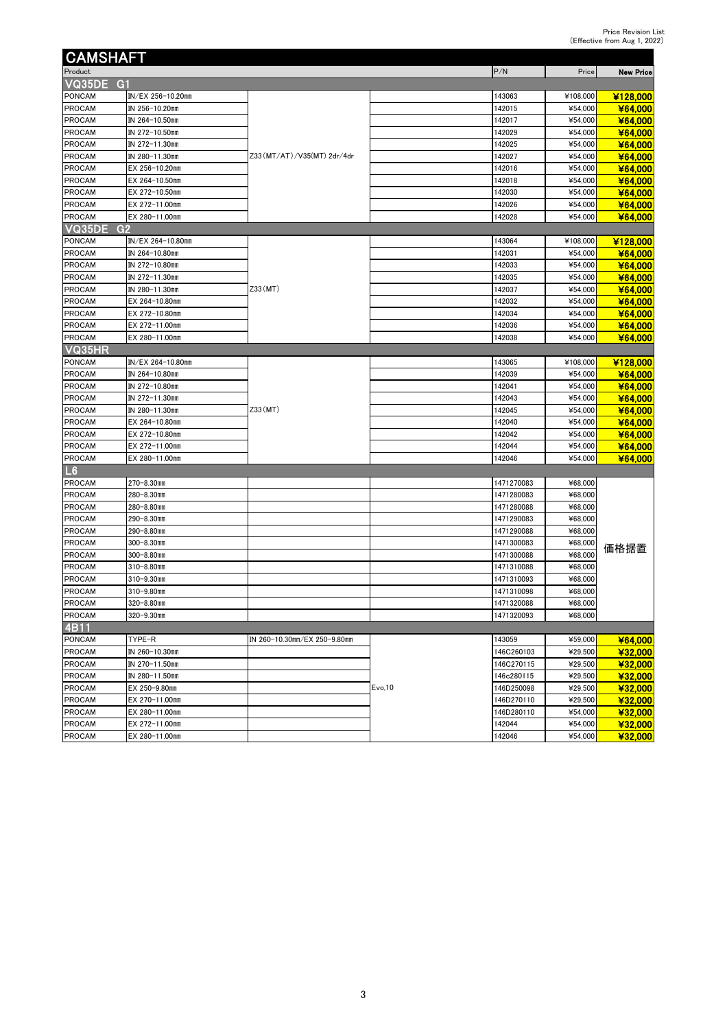| <b>CAMSHAFT</b> |                   |                              |         |            |          |                  |
|-----------------|-------------------|------------------------------|---------|------------|----------|------------------|
| Product         |                   |                              |         | P/N        | Price    | <b>New Price</b> |
| VQ35DE G1       |                   |                              |         |            |          |                  |
| PONCAM          | IN/EX 256-10.20mm |                              |         | 143063     | ¥108,000 | ¥128,000         |
| PROCAM          | IN 256-10.20mm    |                              |         | 142015     | ¥54,000  | ¥64,000          |
| PROCAM          | IN 264-10.50mm    |                              |         | 142017     | ¥54,000  | ¥64,000          |
| PROCAM          | IN 272-10.50mm    |                              |         | 142029     | ¥54,000  | ¥64,000          |
| PROCAM          | IN 272-11.30mm    |                              |         | 142025     | ¥54,000  | ¥64,000          |
| PROCAM          | IN 280-11.30mm    | Z33 (MT/AT)/V35 (MT) 2dr/4dr |         | 142027     | ¥54,000  | ¥64,000          |
| PROCAM          | EX 256-10.20mm    |                              |         | 142016     | ¥54,000  | ¥64,000          |
| PROCAM          | EX 264-10.50mm    |                              |         | 142018     | ¥54,000  | ¥64,000          |
| PROCAM          | EX 272-10.50mm    |                              |         | 142030     | ¥54,000  | ¥64,000          |
| PROCAM          | EX 272-11.00mm    |                              |         | 142026     | ¥54,000  | ¥64,000          |
| PROCAM          | EX 280-11.00mm    |                              |         | 142028     | ¥54,000  | ¥64,000          |
| VQ35DE<br>G2    |                   |                              |         |            |          |                  |
| PONCAM          | IN/EX 264-10.80mm |                              |         | 143064     | ¥108,000 | ¥128,000         |
| PROCAM          | IN 264-10.80mm    |                              |         | 142031     | ¥54,000  | ¥64,000          |
| PROCAM          | IN 272-10.80mm    |                              |         | 142033     | ¥54,000  | ¥64,000          |
| PROCAM          | IN 272-11.30mm    |                              |         | 142035     | ¥54,000  | ¥64,000          |
| PROCAM          | IN 280-11.30mm    | Z33(MT)                      |         | 142037     | ¥54,000  | ¥64,000          |
| PROCAM          | EX 264-10.80mm    |                              |         | 142032     | ¥54,000  | ¥64,000          |
| PROCAM          | EX 272-10.80mm    |                              |         | 142034     | ¥54,000  | ¥64,000          |
| PROCAM          | EX 272-11.00mm    |                              |         | 142036     | ¥54,000  | ¥64,000          |
| <b>PROCAM</b>   | EX 280-11.00mm    |                              |         | 142038     | ¥54,000  | ¥64,000          |
| VQ35HR          |                   |                              |         |            |          |                  |
| PONCAM          | IN/EX 264-10.80mm |                              |         | 143065     | ¥108,000 | ¥128,000         |
| <b>PROCAM</b>   | IN 264-10.80mm    |                              |         | 142039     | ¥54,000  | ¥64,000          |
| PROCAM          | IN 272-10.80mm    |                              |         | 142041     | ¥54,000  | ¥64,000          |
| PROCAM          | IN 272-11.30mm    |                              |         | 142043     | ¥54,000  | ¥64,000          |
| PROCAM          | IN 280-11.30mm    | Z33(MT)                      |         | 142045     | ¥54,000  | ¥64,000          |
| PROCAM          | EX 264-10.80mm    |                              |         | 142040     | ¥54,000  | ¥64,000          |
| PROCAM          | EX 272-10.80mm    |                              |         | 142042     | ¥54,000  | ¥64,000          |
| <b>PROCAM</b>   | EX 272-11.00mm    |                              |         | 142044     | ¥54,000  | ¥64,000          |
| PROCAM          | EX 280-11.00mm    |                              |         | 142046     | ¥54,000  | ¥64,000          |
| L6              |                   |                              |         |            |          |                  |
| PROCAM          | 270-8.30mm        |                              |         | 1471270083 | ¥68,000  |                  |
| PROCAM          | 280-8.30mm        |                              |         | 1471280083 | ¥68,000  |                  |
| PROCAM          | 280-8.80mm        |                              |         | 1471280088 | ¥68,000  |                  |
| PROCAM          | 290–8.30mm        |                              |         | 1471290083 | ¥68,000  |                  |
| PROCAM          | 290-8.80mm        |                              |         | 1471290088 | ¥68,000  |                  |
| PROCAM          | 300-8.30mm        |                              |         | 1471300083 | ¥68,000  |                  |
| PROCAM          | 300-8.80mm        |                              |         | 1471300088 | ¥68,000  | 価格据置             |
| PROCAM          | 310-8.80mm        |                              |         | 1471310088 | ¥68,000  |                  |
| PROCAM          | 310-9.30mm        |                              |         | 1471310093 | ¥68,000  |                  |
| PROCAM          | 310-9.80mm        |                              |         | 1471310098 | ¥68,000  |                  |
| PROCAM          | 320-8.80mm        |                              |         | 1471320088 | ¥68,000  |                  |
| <b>PROCAM</b>   | 320-9.30mm        |                              |         | 1471320093 | ¥68,000  |                  |
| 4B11            |                   |                              |         |            |          |                  |
| PONCAM          | TYPE-R            | IN 260-10.30mm/EX 250-9.80mm |         | 143059     | ¥59,000  | ¥64,000          |
| PROCAM          | IN 260-10.30mm    |                              |         | 146C260103 | ¥29,500  | ¥32,000          |
| PROCAM          | IN 270-11.50mm    |                              |         | 146C270115 | ¥29,500  | ¥32,000          |
| PROCAM          | IN 280-11.50mm    |                              |         | 46c280115  | ¥29,500  | ¥32 000          |
| PROCAM          | EX 250-9.80mm     |                              | Evo, 10 | 146D250098 | ¥29,500  | ¥32,000          |
| PROCAM          | EX 270-11.00mm    |                              |         | 146D270110 | ¥29,500  | ¥32,000          |
| PROCAM          | EX 280-11.00mm    |                              |         | 146D280110 | ¥54,000  | ¥32,000          |
| PROCAM          | EX 272-11.00mm    |                              |         | 142044     | ¥54,000  | ¥32,000          |
| PROCAM          | EX 280-11.00mm    |                              |         | 142046     | ¥54,000  | ¥32,000          |
|                 |                   |                              |         |            |          |                  |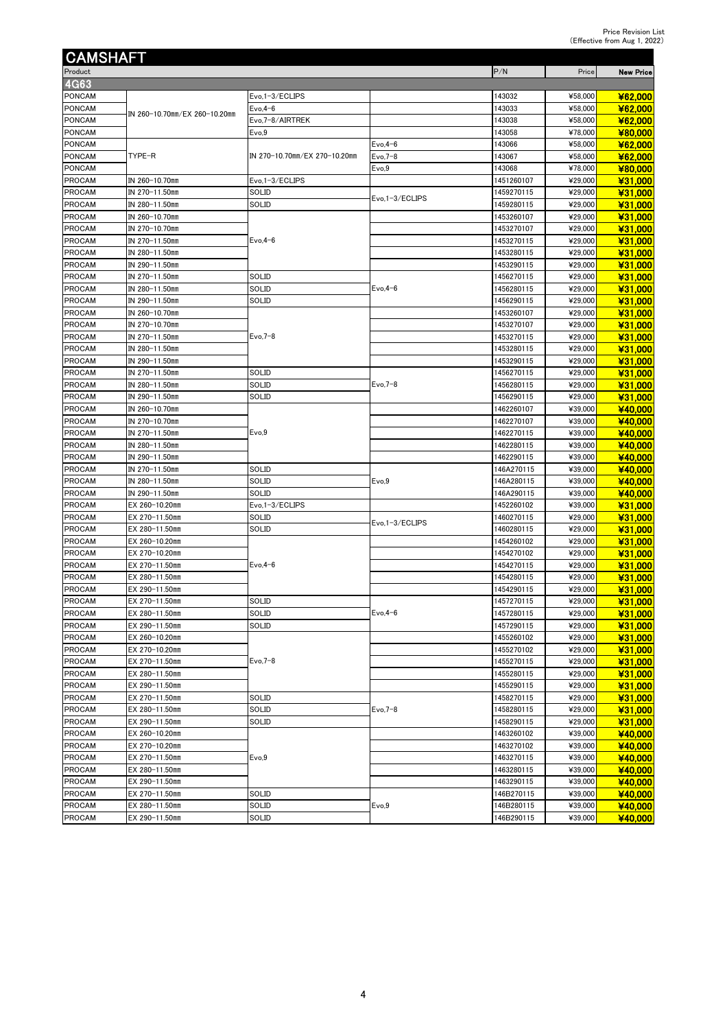| <b>CAMSHAFT</b>                |                                  |                               |                 |                          |         |                    |
|--------------------------------|----------------------------------|-------------------------------|-----------------|--------------------------|---------|--------------------|
| Product                        |                                  |                               |                 | P/N                      | Price   | <b>New Price</b>   |
| <b>4G63</b>                    |                                  |                               |                 |                          |         |                    |
| <b>PONCAM</b>                  |                                  | Evo, 1-3/ECLIPS               |                 | 143032                   | ¥58,000 | ¥62,000            |
| PONCAM                         |                                  | $Evo, 4-6$                    |                 | 143033                   | ¥58,000 | ¥62,000            |
| <b>PONCAM</b>                  | IN 260-10.70mm/EX 260-10.20mm    | Evo, 7-8/AIRTREK              |                 | 143038                   | ¥58,000 | ¥62,000            |
| <b>PONCAM</b>                  |                                  | Evo,9                         |                 | 143058                   | ¥78,000 | ¥80,000            |
| PONCAM                         |                                  |                               | $Evo, 4-6$      | 143066                   | ¥58,000 | ¥62,000            |
| PONCAM                         | TYPE-R                           | IN 270-10.70mm/EX 270-10.20mm | $Evo,7-8$       | 143067                   | ¥58,000 | ¥62,000            |
| <b>PONCAM</b>                  |                                  |                               | Evo,9           | 143068                   | ¥78,000 | ¥80,000            |
| <b>PROCAM</b>                  | IN 260-10.70mm                   | Evo.1-3/ECLIPS                |                 | 1451260107               | ¥29,000 | ¥31,000            |
| <b>PROCAM</b>                  | IN 270-11.50mm                   | SOLID                         |                 | 1459270115               | ¥29,000 | ¥31,000            |
| <b>PROCAM</b>                  | IN 280-11.50mm                   | SOLID                         | Evo,1-3/ECLIPS  | 1459280115               | ¥29,000 | ¥31,000            |
| PROCAM                         | IN 260-10.70mm                   |                               |                 | 1453260107               | ¥29,000 | ¥31,000            |
| PROCAM                         | IN 270-10.70mm                   |                               |                 | 1453270107               | ¥29,000 | ¥31,000            |
| <b>PROCAM</b>                  | IN 270-11.50mm                   | $Evo, 4-6$                    |                 | 1453270115               | ¥29,000 | ¥31,000            |
| PROCAM                         | IN 280-11.50mm                   |                               |                 | 1453280115               | ¥29,000 | ¥31,000            |
| <b>PROCAM</b>                  | IN 290-11.50mm                   |                               |                 | 1453290115               | ¥29,000 | ¥31,000            |
| <b>PROCAM</b>                  | IN 270-11.50mm                   | SOLID                         |                 | 1456270115               | ¥29,000 | ¥31,000            |
| <b>PROCAM</b>                  | IN 280-11.50mm                   | SOLID                         | $Evo, 4-6$      | 1456280115               | ¥29,000 | ¥31,000            |
| <b>PROCAM</b>                  | IN 290-11.50mm                   | SOLID                         |                 | 1456290115               | ¥29,000 | ¥31,000            |
| <b>PROCAM</b>                  | IN 260-10.70mm                   |                               |                 | 1453260107               | ¥29,000 | ¥31,000            |
| PROCAM                         | IN 270-10.70mm                   |                               |                 | 1453270107               | ¥29,000 | ¥31,000            |
| <b>PROCAM</b>                  | IN 270-11.50mm                   | $Evo,7-8$                     |                 | 1453270115               | ¥29,000 | ¥31,000            |
| <b>PROCAM</b>                  | IN 280-11.50mm                   |                               |                 | 1453280115               | ¥29,000 | ¥31,000            |
| <b>PROCAM</b>                  | IN 290-11.50mm                   |                               |                 | 1453290115               | ¥29,000 | ¥31,000            |
| <b>PROCAM</b>                  | IN 270-11.50mm                   | SOLID                         |                 | 1456270115               | ¥29,000 | ¥31,000            |
|                                |                                  | SOLID                         | $Evo,7-8$       |                          | ¥29,000 |                    |
| <b>PROCAM</b><br><b>PROCAM</b> | IN 280-11.50mm<br>IN 290-11.50mm | SOLID                         |                 | 1456280115<br>1456290115 | ¥29,000 | ¥31,000<br>¥31,000 |
| <b>PROCAM</b>                  | IN 260-10.70mm                   |                               |                 | 1462260107               | ¥39,000 | ¥40,000            |
| PROCAM                         | IN 270-10.70mm                   |                               |                 | 1462270107               | ¥39,000 | ¥40,000            |
| <b>PROCAM</b>                  | IN 270-11.50mm                   | Evo,9                         |                 | 1462270115               | ¥39,000 | ¥40,000            |
| <b>PROCAM</b>                  | IN 280-11.50mm                   |                               |                 | 1462280115               | ¥39,000 | ¥40,000            |
| PROCAM                         | IN 290-11.50mm                   |                               |                 | 1462290115               | ¥39,000 | ¥40,000            |
| <b>PROCAM</b>                  | IN 270-11.50mm                   | <b>SOLID</b>                  |                 | 146A270115               | ¥39,000 | ¥40,000            |
| <b>PROCAM</b>                  | IN 280-11.50mm                   | SOLID                         | Evo,9           | 146A280115               | ¥39,000 | ¥40,000            |
| <b>PROCAM</b>                  | IN 290-11.50mm                   | SOLID                         |                 | 146A290115               | ¥39,000 | ¥40,000            |
| <b>PROCAM</b>                  | EX 260-10.20mm                   | Evo, 1-3/ECLIPS               |                 | 1452260102               | ¥39,000 | ¥31,000            |
| <b>PROCAM</b>                  | EX 270-11.50mm                   | SOLID                         |                 | 1460270115               | ¥29,000 | ¥31,000            |
| PROCAM                         | EX 280-11.50mm                   | SOLID                         | Evo, 1-3/ECLIPS | 1460280115               | ¥29,000 | ¥31,000            |
| <b>PROCAM</b>                  | EX 260-10.20mm                   |                               |                 | 1454260102               | ¥29,000 | ¥31,000            |
| <b>PROCAM</b>                  | EX 270-10.20mm                   |                               |                 | 1454270102               | ¥29,000 | ¥31,000            |
| <b>PROCAM</b>                  | EX 270-11.50mm                   | $Evo, 4-6$                    |                 | 1454270115               | ¥29,000 | ¥31,000            |
| <b>PROCAM</b>                  | EX 280-11.50mm                   |                               |                 | 1454280115               | ¥29,000 | ¥31,000            |
| <b>PROCAM</b>                  | EX 290-11.50mm                   |                               |                 | 1454290115               | ¥29,000 | ¥31,000            |
| <b>PROCAM</b>                  | EX 270-11.50mm                   | SOLID                         |                 | 1457270115               | ¥29,000 | ¥31,000            |
| PROCAM                         | EX 280-11.50mm                   | SOLID                         | $Evo, 4-6$      | 1457280115               | ¥29,000 | ¥31,000            |
| PROCAM                         | EX 290-11.50mm                   | SOLID                         |                 | 1457290115               | ¥29,000 | ¥31,000            |
| PROCAM                         | EX 260-10.20mm                   |                               |                 | 1455260102               | ¥29,000 | ¥31,000            |
| <b>PROCAM</b>                  | EX 270-10.20mm                   |                               |                 | 1455270102               | ¥29,000 | ¥31,000            |
| PROCAM                         | EX 270-11.50mm                   | $Evo,7-8$                     |                 | 1455270115               | ¥29,000 | ¥31,000            |
| <b>PROCAM</b>                  | EX 280-11.50mm                   |                               |                 | 1455280115               | ¥29,000 | ¥31,000            |
| PROCAM                         | EX 290-11.50mm                   |                               |                 | 1455290115               | ¥29,000 | ¥31,000            |
| PROCAM                         | EX 270-11.50mm                   | SOLID                         |                 | 1458270115               | ¥29,000 | ¥31,000            |
| <b>PROCAM</b>                  | EX 280-11.50mm                   | SOLID                         | $Evo,7-8$       | 1458280115               | ¥29,000 | ¥31,000            |
| PROCAM                         | EX 290-11.50mm                   | SOLID                         |                 | 1458290115               | ¥29,000 | ¥31,000            |
| PROCAM                         | EX 260-10.20mm                   |                               |                 | 1463260102               | ¥39,000 | ¥40,000            |
| <b>PROCAM</b>                  | EX 270-10.20mm                   |                               |                 | 1463270102               | ¥39,000 | ¥40,000            |
| PROCAM                         | EX 270-11.50mm                   | Evo,9                         |                 | 1463270115               | ¥39,000 | ¥40,000            |
| <b>PROCAM</b>                  | EX 280-11.50mm                   |                               |                 | 1463280115               | ¥39,000 | ¥40,000            |
| <b>PROCAM</b>                  | EX 290-11.50mm                   |                               |                 | 1463290115               | ¥39,000 | ¥40,000            |
| PROCAM                         | EX 270-11.50mm                   | SOLID                         |                 | 146B270115               | ¥39,000 | ¥40,000            |
| <b>PROCAM</b>                  | EX 280-11.50mm                   | SOLID                         | Evo,9           | 146B280115               | ¥39,000 | ¥40,000            |
| PROCAM                         | EX 290-11.50mm                   | SOLID                         |                 | 146B290115               | ¥39,000 | ¥40,000            |